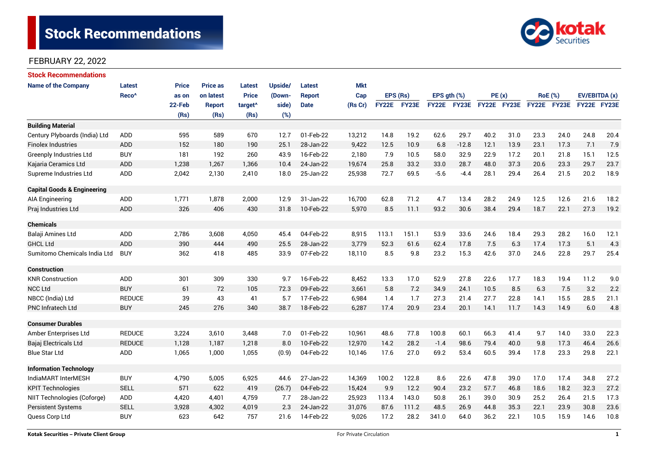# **Stock Recommendations**



### FEBRUARY 22, 2022

| <b>Stock Recommendations</b>           |                   |        |                 |                     |         |               |            |       |          |               |             |             |      |             |                |               |      |
|----------------------------------------|-------------------|--------|-----------------|---------------------|---------|---------------|------------|-------|----------|---------------|-------------|-------------|------|-------------|----------------|---------------|------|
| <b>Name of the Company</b>             | Latest            | Price  | <b>Price as</b> | Latest              | Upside/ | <b>Latest</b> | <b>Mkt</b> |       |          |               |             |             |      |             |                |               |      |
|                                        | Reco <sup>^</sup> | as on  | on latest       | <b>Price</b>        | (Down-  | <b>Report</b> | Cap        |       | EPS (Rs) | EPS $gth$ $%$ |             | PE(x)       |      |             | <b>RoE</b> (%) | EV/EBITDA (x) |      |
|                                        |                   | 22-Feb | <b>Report</b>   | target <sup>^</sup> | side)   | <b>Date</b>   | (Rs Cr)    | FY22E | FY23E    |               | FY22E FY23E | FY22E FY23E |      | FY22E FY23E |                | FY22E FY23E   |      |
|                                        |                   | (Rs)   | (Rs)            | (Rs)                | (%)     |               |            |       |          |               |             |             |      |             |                |               |      |
| <b>Building Material</b>               |                   |        |                 |                     |         |               |            |       |          |               |             |             |      |             |                |               |      |
| Century Plyboards (India) Ltd          | <b>ADD</b>        | 595    | 589             | 670                 | 12.7    | 01-Feb-22     | 13,212     | 14.8  | 19.2     | 62.6          | 29.7        | 40.2        | 31.0 | 23.3        | 24.0           | 24.8          | 20.4 |
| <b>Finolex Industries</b>              | ADD               | 152    | 180             | 190                 | 25.1    | 28-Jan-22     | 9,422      | 12.5  | 10.9     | 6.8           | $-12.8$     | 12.1        | 13.9 | 23.1        | 17.3           | 7.1           | 7.9  |
| <b>Greenply Industries Ltd</b>         | <b>BUY</b>        | 181    | 192             | 260                 | 43.9    | 16-Feb-22     | 2,180      | 7.9   | 10.5     | 58.0          | 32.9        | 22.9        | 17.2 | 20.1        | 21.8           | 15.1          | 12.5 |
| Kajaria Ceramics Ltd                   | <b>ADD</b>        | 1,238  | 1,267           | 1,366               | 10.4    | 24-Jan-22     | 19,674     | 25.8  | 33.2     | 33.0          | 28.7        | 48.0        | 37.3 | 20.6        | 23.3           | 29.7          | 23.7 |
| Supreme Industries Ltd                 | <b>ADD</b>        | 2,042  | 2,130           | 2,410               | 18.0    | 25-Jan-22     | 25,938     | 72.7  | 69.5     | $-5.6$        | $-4.4$      | 28.1        | 29.4 | 26.4        | 21.5           | 20.2          | 18.9 |
| <b>Capital Goods &amp; Engineering</b> |                   |        |                 |                     |         |               |            |       |          |               |             |             |      |             |                |               |      |
| <b>AIA Engineering</b>                 | ADD               | 1,771  | 1,878           | 2,000               | 12.9    | 31-Jan-22     | 16,700     | 62.8  | 71.2     | 4.7           | 13.4        | 28.2        | 24.9 | 12.5        | 12.6           | 21.6          | 18.2 |
| Praj Industries Ltd                    | <b>ADD</b>        | 326    | 406             | 430                 | 31.8    | 10-Feb-22     | 5,970      | 8.5   | 11.1     | 93.2          | 30.6        | 38.4        | 29.4 | 18.7        | 22.1           | 27.3          | 19.2 |
| <b>Chemicals</b>                       |                   |        |                 |                     |         |               |            |       |          |               |             |             |      |             |                |               |      |
| Balaji Amines Ltd                      | <b>ADD</b>        | 2,786  | 3,608           | 4,050               | 45.4    | 04-Feb-22     | 8,915      | 113.1 | 151.1    | 53.9          | 33.6        | 24.6        | 18.4 | 29.3        | 28.2           | 16.0          | 12.1 |
| <b>GHCL Ltd</b>                        | <b>ADD</b>        | 390    | 444             | 490                 | 25.5    | 28-Jan-22     | 3,779      | 52.3  | 61.6     | 62.4          | 17.8        | 7.5         | 6.3  | 17.4        | 17.3           | 5.1           | 4.3  |
| Sumitomo Chemicals India Ltd           | <b>BUY</b>        | 362    | 418             | 485                 | 33.9    | 07-Feb-22     | 18,110     | 8.5   | 9.8      | 23.2          | 15.3        | 42.6        | 37.0 | 24.6        | 22.8           | 29.7          | 25.4 |
| <b>Construction</b>                    |                   |        |                 |                     |         |               |            |       |          |               |             |             |      |             |                |               |      |
| <b>KNR Construction</b>                | ADD               | 301    | 309             | 330                 | 9.7     | 16-Feb-22     | 8,452      | 13.3  | 17.0     | 52.9          | 27.8        | 22.6        | 17.7 | 18.3        | 19.4           | 11.2          | 9.0  |
| <b>NCC Ltd</b>                         | <b>BUY</b>        | 61     | 72              | 105                 | 72.3    | 09-Feb-22     | 3,661      | 5.8   | 7.2      | 34.9          | 24.1        | 10.5        | 8.5  | 6.3         | 7.5            | 3.2           | 2.2  |
| NBCC (India) Ltd                       | <b>REDUCE</b>     | 39     | 43              | 41                  | 5.7     | 17-Feb-22     | 6,984      | 1.4   | 1.7      | 27.3          | 21.4        | 27.7        | 22.8 | 14.1        | 15.5           | 28.5          | 21.1 |
| <b>PNC Infratech Ltd</b>               | <b>BUY</b>        | 245    | 276             | 340                 | 38.7    | 18-Feb-22     | 6,287      | 17.4  | 20.9     | 23.4          | 20.1        | 14.1        | 11.7 | 14.3        | 14.9           | 6.0           | 4.8  |
| <b>Consumer Durables</b>               |                   |        |                 |                     |         |               |            |       |          |               |             |             |      |             |                |               |      |
| Amber Enterprises Ltd                  | <b>REDUCE</b>     | 3,224  | 3,610           | 3,448               | 7.0     | 01-Feb-22     | 10,961     | 48.6  | 77.8     | 100.8         | 60.1        | 66.3        | 41.4 | 9.7         | 14.0           | 33.0          | 22.3 |
| Bajaj Electricals Ltd                  | <b>REDUCE</b>     | 1,128  | 1,187           | 1,218               | 8.0     | 10-Feb-22     | 12,970     | 14.2  | 28.2     | $-1.4$        | 98.6        | 79.4        | 40.0 | 9.8         | 17.3           | 46.4          | 26.6 |
| <b>Blue Star Ltd</b>                   | <b>ADD</b>        | 1,065  | 1,000           | 1,055               | (0.9)   | 04-Feb-22     | 10,146     | 17.6  | 27.0     | 69.2          | 53.4        | 60.5        | 39.4 | 17.8        | 23.3           | 29.8          | 22.1 |
| <b>Information Technology</b>          |                   |        |                 |                     |         |               |            |       |          |               |             |             |      |             |                |               |      |
| IndiaMART InterMESH                    | <b>BUY</b>        | 4,790  | 5,005           | 6,925               | 44.6    | 27-Jan-22     | 14,369     | 100.2 | 122.8    | 8.6           | 22.6        | 47.8        | 39.0 | 17.0        | 17.4           | 34.8          | 27.2 |
| <b>KPIT Technologies</b>               | <b>SELL</b>       | 571    | 622             | 419                 | (26.7)  | 04-Feb-22     | 15,424     | 9.9   | 12.2     | 90.4          | 23.2        | 57.7        | 46.8 | 18.6        | 18.2           | 32.3          | 27.2 |
| NIIT Technologies (Coforge)            | ADD               | 4,420  | 4,401           | 4,759               | 7.7     | 28-Jan-22     | 25,923     | 113.4 | 143.0    | 50.8          | 26.1        | 39.0        | 30.9 | 25.2        | 26.4           | 21.5          | 17.3 |
| <b>Persistent Systems</b>              | <b>SELL</b>       | 3,928  | 4,302           | 4,019               | 2.3     | 24-Jan-22     | 31,076     | 87.6  | 111.2    | 48.5          | 26.9        | 44.8        | 35.3 | 22.1        | 23.9           | 30.8          | 23.6 |
| Quess Corp Ltd                         | <b>BUY</b>        | 623    | 642             | 757                 | 21.6    | 14-Feb-22     | 9,026      | 17.2  | 28.2     | 341.0         | 64.0        | 36.2        | 22.1 | 10.5        | 15.9           | 14.6          | 10.8 |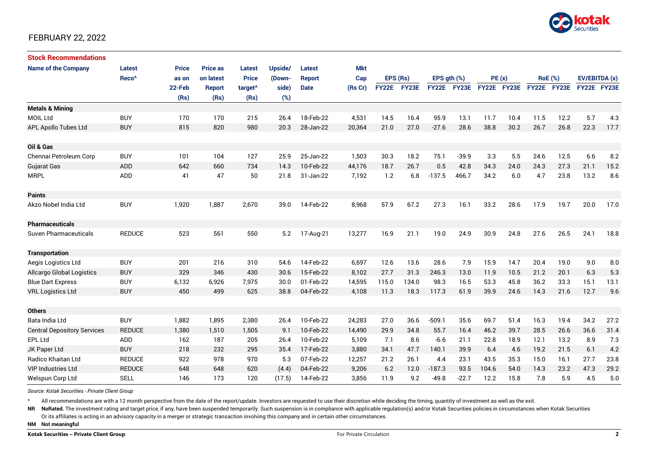

### FEBRUARY 22, 2022

| <b>Stock Recommendations</b>       |                   |              |                 |                     |         |               |            |             |       |               |             |             |      |                |      |               |      |
|------------------------------------|-------------------|--------------|-----------------|---------------------|---------|---------------|------------|-------------|-------|---------------|-------------|-------------|------|----------------|------|---------------|------|
| <b>Name of the Company</b>         | <b>Latest</b>     | <b>Price</b> | <b>Price as</b> | Latest              | Upside/ | Latest        | <b>Mkt</b> |             |       |               |             |             |      |                |      |               |      |
|                                    | Reco <sup>^</sup> | as on        | on latest       | <b>Price</b>        | (Down-  | <b>Report</b> | Cap        | EPS (Rs)    |       | EPS $qth$ $%$ |             | PE(x)       |      | <b>RoE</b> (%) |      | EV/EBITDA (x) |      |
|                                    |                   | 22-Feb       | <b>Report</b>   | target <sup>^</sup> | side)   | <b>Date</b>   | (Rs Cr)    | FY22E FY23E |       |               | FY22E FY23E | FY22E FY23E |      | FY22E FY23E    |      | FY22E FY23E   |      |
|                                    |                   | (Rs)         | (Rs)            | (Rs)                | (%)     |               |            |             |       |               |             |             |      |                |      |               |      |
| <b>Metals &amp; Mining</b>         |                   |              |                 |                     |         |               |            |             |       |               |             |             |      |                |      |               |      |
| <b>MOIL Ltd</b>                    | <b>BUY</b>        | 170          | 170             | 215                 | 26.4    | 18-Feb-22     | 4,531      | 14.5        | 16.4  | 95.9          | 13.1        | 11.7        | 10.4 | 11.5           | 12.2 | 5.7           | 4.3  |
| APL Apollo Tubes Ltd               | <b>BUY</b>        | 815          | 820             | 980                 | 20.3    | 28-Jan-22     | 20,364     | 21.0        | 27.0  | $-27.6$       | 28.6        | 38.8        | 30.2 | 26.7           | 26.8 | 22.3          | 17.7 |
| Oil & Gas                          |                   |              |                 |                     |         |               |            |             |       |               |             |             |      |                |      |               |      |
| Chennai Petroleum Corp             | <b>BUY</b>        | 101          | 104             | 127                 | 25.9    | 25-Jan-22     | 1,503      | 30.3        | 18.2  | 75.1          | $-39.9$     | 3.3         | 5.5  | 24.6           | 12.5 | 6.6           | 8.2  |
| <b>Gujarat Gas</b>                 | <b>ADD</b>        | 642          | 660             | 734                 | 14.3    | 10-Feb-22     | 44,176     | 18.7        | 26.7  | 0.5           | 42.8        | 34.3        | 24.0 | 24.3           | 27.3 | 21.1          | 15.2 |
| <b>MRPL</b>                        | <b>ADD</b>        | 41           | 47              | 50                  | 21.8    | 31-Jan-22     | 7,192      | 1.2         | 6.8   | $-137.5$      | 466.7       | 34.2        | 6.0  | 4.7            | 23.8 | 13.2          | 8.6  |
|                                    |                   |              |                 |                     |         |               |            |             |       |               |             |             |      |                |      |               |      |
| <b>Paints</b>                      |                   |              |                 |                     |         |               |            |             |       |               |             |             |      |                |      |               |      |
| Akzo Nobel India Ltd               | <b>BUY</b>        | 1,920        | 1,887           | 2,670               | 39.0    | 14-Feb-22     | 8,968      | 57.9        | 67.2  | 27.3          | 16.1        | 33.2        | 28.6 | 17.9           | 19.7 | 20.0          | 17.0 |
| Pharmaceuticals                    |                   |              |                 |                     |         |               |            |             |       |               |             |             |      |                |      |               |      |
| <b>Suven Pharmaceuticals</b>       | <b>REDUCE</b>     | 523          | 561             | 550                 | 5.2     | 17-Aug-21     | 13,277     | 16.9        | 21.1  | 19.0          | 24.9        | 30.9        | 24.8 | 27.6           | 26.5 | 24.1          | 18.8 |
| <b>Transportation</b>              |                   |              |                 |                     |         |               |            |             |       |               |             |             |      |                |      |               |      |
| Aegis Logistics Ltd                | <b>BUY</b>        | 201          | 216             | 310                 | 54.6    | 14-Feb-22     | 6,697      | 12.6        | 13.6  | 28.6          | 7.9         | 15.9        | 14.7 | 20.4           | 19.0 | 9.0           | 8.0  |
| <b>Allcargo Global Logistics</b>   | <b>BUY</b>        | 329          | 346             | 430                 | 30.6    | 15-Feb-22     | 8,102      | 27.7        | 31.3  | 246.3         | 13.0        | 11.9        | 10.5 | 21.2           | 20.1 | 6.3           | 5.3  |
| <b>Blue Dart Express</b>           | <b>BUY</b>        | 6,132        | 6,926           | 7,975               | 30.0    | 01-Feb-22     | 14,595     | 115.0       | 134.0 | 98.3          | 16.5        | 53.3        | 45.8 | 36.2           | 33.3 | 15.1          | 13.1 |
| <b>VRL Logistics Ltd</b>           | <b>BUY</b>        | 450          | 499             | 625                 | 38.8    | 04-Feb-22     | 4,108      | 11.3        | 18.3  | 117.3         | 61.9        | 39.9        | 24.6 | 14.3           | 21.6 | 12.7          | 9.6  |
|                                    |                   |              |                 |                     |         |               |            |             |       |               |             |             |      |                |      |               |      |
| <b>Others</b>                      |                   |              |                 |                     |         |               |            |             |       |               |             |             |      |                |      |               |      |
| Bata India Ltd                     | <b>BUY</b>        | 1,882        | 1,895           | 2,380               | 26.4    | 10-Feb-22     | 24,283     | 27.0        | 36.6  | $-509.1$      | 35.6        | 69.7        | 51.4 | 16.3           | 19.4 | 34.2          | 27.2 |
| <b>Central Depository Services</b> | <b>REDUCE</b>     | 1,380        | 1,510           | 1,505               | 9.1     | 10-Feb-22     | 14,490     | 29.9        | 34.8  | 55.7          | 16.4        | 46.2        | 39.7 | 28.5           | 26.6 | 36.6          | 31.4 |
| EPL Ltd                            | <b>ADD</b>        | 162          | 187             | 205                 | 26.4    | 10-Feb-22     | 5,109      | 7.1         | 8.6   | $-6.6$        | 21.1        | 22.8        | 18.9 | 12.1           | 13.2 | 8.9           | 7.3  |
| JK Paper Ltd                       | <b>BUY</b>        | 218          | 232             | 295                 | 35.4    | 17-Feb-22     | 3,880      | 34.1        | 47.7  | 140.1         | 39.9        | 6.4         | 4.6  | 19.2           | 21.5 | 6.1           | 4.2  |
| <b>Radico Khaitan Ltd</b>          | <b>REDUCE</b>     | 922          | 978             | 970                 | 5.3     | 07-Feb-22     | 12,257     | 21.2        | 26.1  | 4.4           | 23.1        | 43.5        | 35.3 | 15.0           | 16.1 | 27.7          | 23.8 |
| <b>VIP Industries Ltd</b>          | <b>REDUCE</b>     | 648          | 648             | 620                 | (4.4)   | 04-Feb-22     | 9,206      | 6.2         | 12.0  | $-187.3$      | 93.5        | 104.6       | 54.0 | 14.3           | 23.2 | 47.3          | 29.2 |
| Welspun Corp Ltd                   | <b>SELL</b>       | 146          | 173             | 120                 | (17.5)  | 14-Feb-22     | 3,856      | 11.9        | 9.2   | $-49.8$       | $-22.7$     | 12.2        | 15.8 | 7.8            | 5.9  | 4.5           | 5.0  |

*Source: Kotak Securities - Private Client Group*

All recommendations are with a 12 month perspective from the date of the report/update. Investors are requested to use their discretion while deciding the timing, quantity of investment as well as the exit.

NR NoRated. The investment rating and target price, if any, have been suspended temporarily. Such suspension is in compliance with applicable regulation(s) and/or Kotak Securities policies in circumstances when Kotak Secur

Or its affiliates is acting in an advisory capacity in a merger or strategic transaction involving this company and in certain other circumstances.

**NM Not meaningful**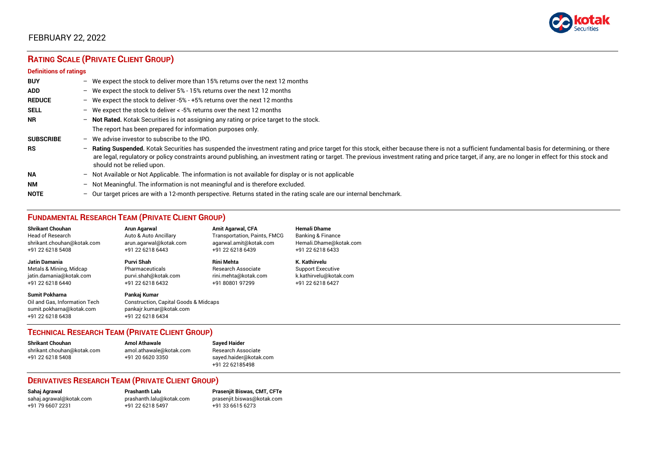

# FEBRUARY 22, 2022

# **RATING SCALE (PRIVATE CLIENT GROUP)**

#### **Definitions of ratings**

| <b>BUY</b>       |   | - We expect the stock to deliver more than 15% returns over the next 12 months                                                                                                                                                                                                                                                                                                                                                     |
|------------------|---|------------------------------------------------------------------------------------------------------------------------------------------------------------------------------------------------------------------------------------------------------------------------------------------------------------------------------------------------------------------------------------------------------------------------------------|
| <b>ADD</b>       |   | - We expect the stock to deliver 5% - 15% returns over the next 12 months                                                                                                                                                                                                                                                                                                                                                          |
| <b>REDUCE</b>    |   | - We expect the stock to deliver -5% - +5% returns over the next 12 months                                                                                                                                                                                                                                                                                                                                                         |
| <b>SELL</b>      |   | - We expect the stock to deliver $\lt$ -5% returns over the next 12 months                                                                                                                                                                                                                                                                                                                                                         |
| <b>NR</b>        |   | - Not Rated. Kotak Securities is not assigning any rating or price target to the stock.                                                                                                                                                                                                                                                                                                                                            |
|                  |   | The report has been prepared for information purposes only.                                                                                                                                                                                                                                                                                                                                                                        |
| <b>SUBSCRIBE</b> |   | $-$ We advise investor to subscribe to the IPO.                                                                                                                                                                                                                                                                                                                                                                                    |
| <b>RS</b>        |   | - Rating Suspended. Kotak Securities has suspended the investment rating and price target for this stock, either because there is not a sufficient fundamental basis for determining, or there<br>are legal, regulatory or policy constraints around publishing, an investment rating or target. The previous investment rating and price target, if any, are no longer in effect for this stock and<br>should not be relied upon. |
| <b>NA</b>        |   | $-$ Not Available or Not Applicable. The information is not available for display or is not applicable                                                                                                                                                                                                                                                                                                                             |
| <b>NM</b>        |   | - Not Meaningful. The information is not meaningful and is therefore excluded.                                                                                                                                                                                                                                                                                                                                                     |
| <b>NOTE</b>      | - | Our target prices are with a 12-month perspective. Returns stated in the rating scale are our internal benchmark.                                                                                                                                                                                                                                                                                                                  |

### **FUNDAMENTAL RESEARCH TEAM (PRIVATE CLIENT GROUP)**

| <b>Shrikant Chouhan</b>                                                                                | Arun Agarwal                                                                                                    | <b>Amit Agarwal, CFA</b>            | <b>Hemali Dhame</b>          |
|--------------------------------------------------------------------------------------------------------|-----------------------------------------------------------------------------------------------------------------|-------------------------------------|------------------------------|
| <b>Head of Research</b>                                                                                | Auto & Auto Ancillary                                                                                           | <b>Transportation, Paints, FMCG</b> | <b>Banking &amp; Finance</b> |
| shrikant.chouhan@kotak.com                                                                             | arun agarwal@kotak.com                                                                                          | agarwal.amit@kotak.com              | Hemali.Dhame@kotak.com       |
| +91 22 6218 5408                                                                                       | +91 22 6218 6443                                                                                                | +91 22 6218 6439                    | +91 22 6218 6433             |
| Jatin Damania                                                                                          | Purvi Shah                                                                                                      | <b>Rini Mehta</b>                   | K. Kathirvelu                |
| Metals & Mining, Midcap                                                                                | Pharmaceuticals                                                                                                 | Research Associate                  | <b>Support Executive</b>     |
| jatin.damania@kotak.com                                                                                | purvi.shah@kotak.com                                                                                            | rini.mehta@kotak.com                | k.kathirvelu@kotak.com       |
| +91 22 6218 6440                                                                                       | +91 22 6218 6432                                                                                                | +91 80801 97299                     | +91 22 6218 6427             |
| <b>Sumit Pokharna</b><br>Oil and Gas, Information Tech<br>sumit.pokharna@kotak.com<br>+91 22 6218 6438 | Pankaj Kumar<br><b>Construction, Capital Goods &amp; Midcaps</b><br>pankajr.kumar@kotak.com<br>+91 22 6218 6434 |                                     |                              |

#### **TECHNICAL RESEARCH TEAM (PRIVATE CLIENT GROUP)**

| <b>Shrikant Chouhan</b>    | <b>Amol Athawale</b>    |  |
|----------------------------|-------------------------|--|
| shrikant.chouhan@kotak.com | amol.athawale@kotak.com |  |
| +91 22 6218 5408           | +91 20 6620 3350        |  |
|                            |                         |  |

#### **Sayed Haider** Research Associate [sayed.haider@kotak.com](mailto:sayed.haider@kotak.com) +91 22 62185498

#### **DERIVATIVES RESEARCH TEAM (PRIVATE CLIENT GROUP)**

+91 22 6218 5497 +91 33 6615 6273

**Sahaj Agrawal Prashanth Lalu Prasenjit Biswas, CMT, CFTe** [sahaj.agrawal@kotak.com](mailto:sahaj.agrawal@kotak.com) [prashanth.lalu@kotak.com](mailto:prashanth.lalu@kotak.com) [prasenjit.biswas@kotak.com](mailto:prasenjit.biswas@kotak.com)